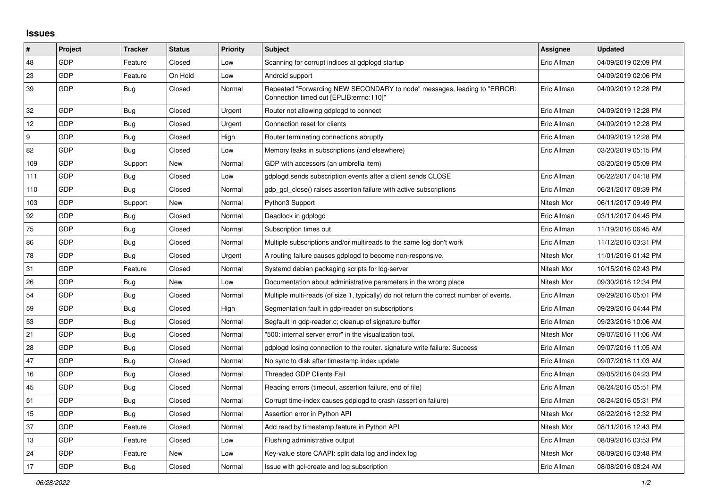## **Issues**

| $\vert$ # | Project    | <b>Tracker</b> | <b>Status</b> | Priority | <b>Subject</b>                                                                                                      | Assignee    | <b>Updated</b>      |
|-----------|------------|----------------|---------------|----------|---------------------------------------------------------------------------------------------------------------------|-------------|---------------------|
| 48        | GDP        | Feature        | Closed        | Low      | Scanning for corrupt indices at gdplogd startup                                                                     | Eric Allman | 04/09/2019 02:09 PM |
| 23        | GDP        | Feature        | On Hold       | Low      | Android support                                                                                                     |             | 04/09/2019 02:06 PM |
| 39        | GDP        | Bug            | Closed        | Normal   | Repeated "Forwarding NEW SECONDARY to node" messages, leading to "ERROR:<br>Connection timed out [EPLIB:errno:110]" | Eric Allman | 04/09/2019 12:28 PM |
| 32        | GDP        | Bug            | Closed        | Urgent   | Router not allowing gdplogd to connect                                                                              | Eric Allman | 04/09/2019 12:28 PM |
| 12        | GDP        | <b>Bug</b>     | Closed        | Urgent   | Connection reset for clients                                                                                        | Eric Allman | 04/09/2019 12:28 PM |
| 9         | GDP        | Bug            | Closed        | High     | Router terminating connections abruptly                                                                             | Eric Allman | 04/09/2019 12:28 PM |
| 82        | GDP        | Bug            | Closed        | Low      | Memory leaks in subscriptions (and elsewhere)                                                                       | Eric Allman | 03/20/2019 05:15 PM |
| 109       | GDP        | Support        | New           | Normal   | GDP with accessors (an umbrella item)                                                                               |             | 03/20/2019 05:09 PM |
| 111       | GDP        | Bug            | Closed        | Low      | gdplogd sends subscription events after a client sends CLOSE                                                        | Eric Allman | 06/22/2017 04:18 PM |
| 110       | GDP        | Bug            | Closed        | Normal   | gdp gcl close() raises assertion failure with active subscriptions                                                  | Eric Allman | 06/21/2017 08:39 PM |
| 103       | GDP        | Support        | New           | Normal   | Python3 Support                                                                                                     | Nitesh Mor  | 06/11/2017 09:49 PM |
| 92        | GDP        | Bug            | Closed        | Normal   | Deadlock in gdplogd                                                                                                 | Eric Allman | 03/11/2017 04:45 PM |
| 75        | GDP        | Bug            | Closed        | Normal   | Subscription times out                                                                                              | Eric Allman | 11/19/2016 06:45 AM |
| 86        | GDP        | <b>Bug</b>     | Closed        | Normal   | Multiple subscriptions and/or multireads to the same log don't work                                                 | Eric Allman | 11/12/2016 03:31 PM |
| 78        | GDP        | Bug            | Closed        | Urgent   | A routing failure causes gdplogd to become non-responsive.                                                          | Nitesh Mor  | 11/01/2016 01:42 PM |
| 31        | GDP        | Feature        | Closed        | Normal   | Systemd debian packaging scripts for log-server                                                                     | Nitesh Mor  | 10/15/2016 02:43 PM |
| 26        | GDP        | Bug            | New           | Low      | Documentation about administrative parameters in the wrong place                                                    | Nitesh Mor  | 09/30/2016 12:34 PM |
| 54        | GDP        | Bug            | Closed        | Normal   | Multiple multi-reads (of size 1, typically) do not return the correct number of events.                             | Eric Allman | 09/29/2016 05:01 PM |
| 59        | GDP        | Bug            | Closed        | High     | Segmentation fault in gdp-reader on subscriptions                                                                   | Eric Allman | 09/29/2016 04:44 PM |
| 53        | GDP        | Bug            | Closed        | Normal   | Segfault in gdp-reader.c; cleanup of signature buffer                                                               | Eric Allman | 09/23/2016 10:06 AM |
| 21        | GDP        | <b>Bug</b>     | Closed        | Normal   | '500: internal server error" in the visualization tool.                                                             | Nitesh Mor  | 09/07/2016 11:06 AM |
| 28        | <b>GDP</b> | Bug            | Closed        | Normal   | gdplogd losing connection to the router, signature write failure: Success                                           | Eric Allman | 09/07/2016 11:05 AM |
| 47        | GDP        | Bug            | Closed        | Normal   | No sync to disk after timestamp index update                                                                        | Eric Allman | 09/07/2016 11:03 AM |
| 16        | GDP        | <b>Bug</b>     | Closed        | Normal   | <b>Threaded GDP Clients Fail</b>                                                                                    | Eric Allman | 09/05/2016 04:23 PM |
| 45        | GDP        | Bug            | Closed        | Normal   | Reading errors (timeout, assertion failure, end of file)                                                            | Eric Allman | 08/24/2016 05:51 PM |
| 51        | GDP        | <b>Bug</b>     | Closed        | Normal   | Corrupt time-index causes gdplogd to crash (assertion failure)                                                      | Eric Allman | 08/24/2016 05:31 PM |
| 15        | GDP        | Bug            | Closed        | Normal   | Assertion error in Python API                                                                                       | Nitesh Mor  | 08/22/2016 12:32 PM |
| 37        | GDP        | Feature        | Closed        | Normal   | Add read by timestamp feature in Python API                                                                         | Nitesh Mor  | 08/11/2016 12:43 PM |
| 13        | <b>GDP</b> | Feature        | Closed        | Low      | Flushing administrative output                                                                                      | Eric Allman | 08/09/2016 03:53 PM |
| 24        | GDP        | Feature        | New           | Low      | Key-value store CAAPI: split data log and index log                                                                 | Nitesh Mor  | 08/09/2016 03:48 PM |
| 17        | GDP        | Bug            | Closed        | Normal   | Issue with gcl-create and log subscription                                                                          | Eric Allman | 08/08/2016 08:24 AM |